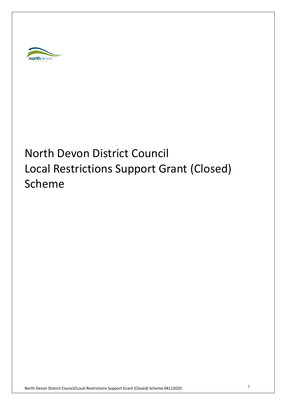

# North Devon District Council Local Restrictions Support Grant (Closed) Scheme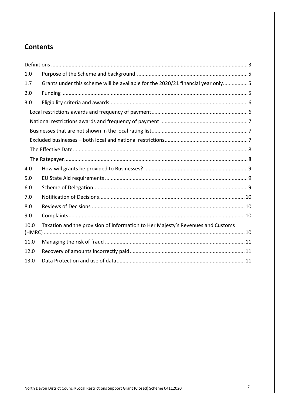# **Contents**

| 1.0                                                                                     |                                                                                 |
|-----------------------------------------------------------------------------------------|---------------------------------------------------------------------------------|
| 1.7                                                                                     | Grants under this scheme will be available for the 2020/21 financial year only5 |
| 2.0                                                                                     |                                                                                 |
| 3.0                                                                                     |                                                                                 |
|                                                                                         |                                                                                 |
|                                                                                         |                                                                                 |
|                                                                                         |                                                                                 |
|                                                                                         |                                                                                 |
|                                                                                         |                                                                                 |
|                                                                                         |                                                                                 |
| 4.0                                                                                     |                                                                                 |
| 5.0                                                                                     |                                                                                 |
| 6.0                                                                                     |                                                                                 |
| 7.0                                                                                     |                                                                                 |
| 8.0                                                                                     |                                                                                 |
| 9.0                                                                                     |                                                                                 |
| Taxation and the provision of information to Her Majesty's Revenues and Customs<br>10.0 |                                                                                 |
| 11.0                                                                                    |                                                                                 |
| 12.0                                                                                    |                                                                                 |
| 13.0                                                                                    |                                                                                 |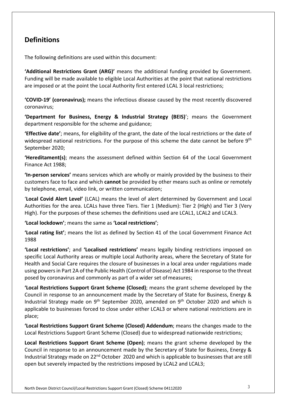# **Definitions**

The following definitions are used within this document:

**'Additional Restrictions Grant (ARG)'** means the additional funding provided by Government. Funding will be made available to eligible Local Authorities at the point that national restrictions are imposed or at the point the Local Authority first entered LCAL 3 local restrictions;

**'COVID-19' (coronavirus);** means the infectious disease caused by the most recently discovered coronavirus;

**'Department for Business, Energy & Industrial Strategy (BEIS)**'; means the Government department responsible for the scheme and guidance;

**'Effective date'**; means, for eligibility of the grant, the date of the local restrictions or the date of widespread national restrictions. For the purpose of this scheme the date cannot be before 9<sup>th</sup> September 2020;

**'Hereditament(s)**; means the assessment defined within Section 64 of the Local Government Finance Act 1988;

**'In-person services'** means services which are wholly or mainly provided by the business to their customers face to face and which **cannot** be provided by other means such as online or remotely by telephone, email, video link, or written communication;

'**Local Covid Alert Level'** (LCAL) means the level of alert determined by Government and Local Authorities for the area. LCALs have three Tiers. Tier 1 (Medium): Tier 2 (High) and Tier 3 (Very High). For the purposes of these schemes the definitions used are LCAL1, LCAL2 and LCAL3.

**'Local lockdown'**; means the same as **'Local restrictions'**;

**'Local rating list'**; means the list as defined by Section 41 of the Local Government Finance Act 1988

**'Local restrictions'**; and **'Localised restrictions'** means legally binding restrictions imposed on specific Local Authority areas or multiple Local Authority areas, where the Secretary of State for Health and Social Care requires the closure of businesses in a local area under regulations made using powers in Part 2A of the Public Health (Control of Disease) Act 1984 in response to the threat posed by coronavirus and commonly as part of a wider set ofmeasures;

**'Local Restrictions Support Grant Scheme (Closed)**; means the grant scheme developed by the Council in response to an announcement made by the Secretary of State for Business, Energy & Industrial Strategy made on  $9<sup>th</sup>$  September 2020, amended on  $9<sup>th</sup>$  October 2020 and which is applicable to businesses forced to close under either LCAL3 or where national restrictions are in place;

**'Local Restrictions Support Grant Scheme (Closed) Addendum**; means the changes made to the Local Restrictions Support Grant Scheme (Closed) due to widespread nationwide restrictions;

**Local Restrictions Support Grant Scheme (Open)**; means the grant scheme developed by the Council in response to an announcement made by the Secretary of State for Business, Energy & Industrial Strategy made on 22<sup>nd</sup> October 2020 and which is applicable to businesses that are still open but severely impacted by the restrictions imposed by LCAL2 and LCAL3;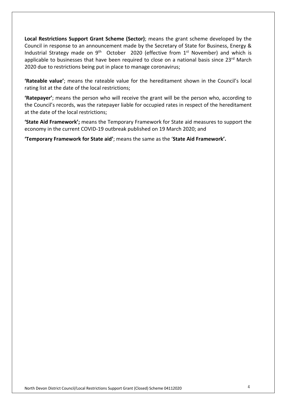**Local Restrictions Support Grant Scheme (Sector)**; means the grant scheme developed by the Council in response to an announcement made by the Secretary of State for Business, Energy & Industrial Strategy made on  $9<sup>th</sup>$  October 2020 (effective from  $1<sup>st</sup>$  November) and which is applicable to businesses that have been required to close on a national basis since 23<sup>rd</sup> March 2020 due to restrictions being put in place to manage coronavirus;

**'Rateable value'**; means the rateable value for the hereditament shown in the Council's local rating list at the date of the local restrictions;

**'Ratepayer'**; means the person who will receive the grant will be the person who, according to the Council's records, was the ratepayer liable for occupied rates in respect of the hereditament at the date of the local restrictions;

**'State Aid Framework';** means the Temporary Framework for State aid measures to support the economy in the current COVID-19 outbreak published on 19 March 2020; and

**'Temporary Framework for State aid'**; means the same as the ' **State Aid Framework' .**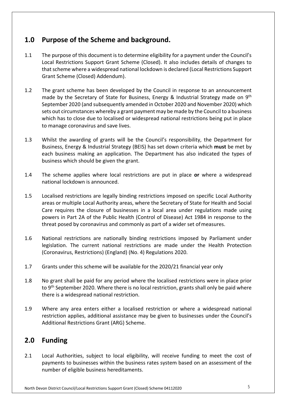# **1.0 Purpose of the Scheme and background.**

- 1.1 The purpose of this document is to determine eligibility for a payment under the Council's Local Restrictions Support Grant Scheme (Closed). It also includes details of changes to that scheme where a widespread national lockdown is declared (Local Restrictions Support Grant Scheme (Closed) Addendum).
- 1.2 The grant scheme has been developed by the Council in response to an announcement made by the Secretary of State for Business, Energy & Industrial Strategy made on 9<sup>th</sup> September 2020 (and subsequently amended in October 2020 and November 2020) which sets out circumstances whereby a grant payment may be made by the Council to a business which has to close due to localised or widespread national restrictions being put in place to manage coronavirus and save lives.
- 1.3 Whilst the awarding of grants will be the Council's responsibility, the Department for Business, Energy & Industrial Strategy (BEIS) has set down criteria which **must** be met by each business making an application. The Department has also indicated the types of business which should be given the grant.
- 1.4 The scheme applies where local restrictions are put in place **or** where a widespread national lockdown is announced.
- 1.5 Localised restrictions are legally binding restrictions imposed on specific Local Authority areas or multiple Local Authority areas, where the Secretary of State for Health and Social Care requires the closure of businesses in a local area under regulations made using powers in Part 2A of the Public Health (Control of Disease) Act 1984 in response to the threat posed by coronavirus and commonly as part of a wider set of measures.
- 1.6 National restrictions are nationally binding restrictions imposed by Parliament under legislation. The current national restrictions are made under the Health Protection (Coronavirus, Restrictions) (England) (No. 4) Regulations 2020.
- 1.7 Grants under this scheme will be available for the 2020/21 financial year only
- 1.8 No grant shall be paid for any period where the localised restrictions were in place prior to 9<sup>th</sup> September 2020. Where there is no local restriction, grants shall only be paid where there is a widespread national restriction.
- 1.9 Where any area enters either a localised restriction or where a widespread national restriction applies, additional assistance may be given to businesses under the Council's Additional Restrictions Grant (ARG) Scheme.

# **2.0 Funding**

2.1 Local Authorities, subject to local eligibility, will receive funding to meet the cost of payments to businesses within the business rates system based on an assessment of the number of eligible business hereditaments.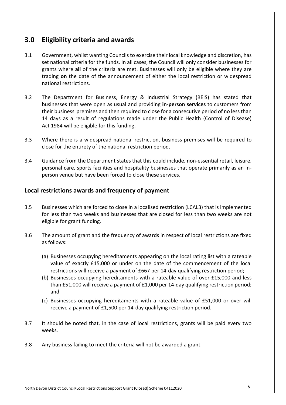# **3.0 Eligibility criteria and awards**

- 3.1 Government, whilst wanting Councils to exercise their local knowledge and discretion, has set national criteria for the funds. In all cases, the Council will only consider businesses for grants where **all** of the criteria are met. Businesses will only be eligible where they are trading **on** the date of the announcement of either the local restriction or widespread national restrictions.
- 3.2 The Department for Business, Energy & Industrial Strategy (BEIS) has stated that businesses that were open as usual and providing **in-person services** to customers from their business premises and then required to close for a consecutive period of no less than 14 days as a result of regulations made under the Public Health (Control of Disease) Act 1984 will be eligible for this funding.
- 3.3 Where there is a widespread national restriction, business premises will be required to close for the entirety of the national restriction period.
- 3.4 Guidance from the Department states that this could include, non-essential retail, leisure, personal care, sports facilities and hospitality businesses that operate primarily as an inperson venue but have been forced to close these services .

#### **Local restrictions awards and frequency of payment**

- 3.5 Businesses which are forced to close in a localised restriction (LCAL3) that is implemented for less than two weeks and businesses that are closed for less than two weeks are not eligible for grant funding.
- 3.6 The amount of grant and the frequency of awards in respect of local restrictions are fixed as follows:
	- (a) Businesses occupying hereditaments appearing on the local rating list with a rateable value of exactly £15,000 or under on the date of the commencement of the local restrictions will receive a payment of £667 per 14-day qualifying restriction period;
	- (b) Businesses occupying hereditaments with a rateable value of over £15,000 and less than £51,000 will receive a payment of £1,000 per 14-day qualifying restriction period; and
	- (c) Businesses occupying hereditaments with a rateable value of £51,000 or over will receive a payment of £1,500 per 14-day qualifying restriction period.
- 3.7 It should be noted that, in the case of local restrictions, grants will be paid every two weeks.
- 3.8 Any business failing to meet the criteria will not be awarded a grant.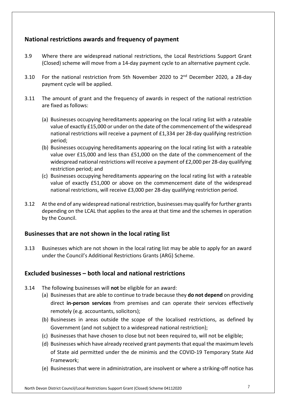## **National restrictions awards and frequency of payment**

- 3.9 Where there are widespread national restrictions, the Local Restrictions Support Grant (Closed) scheme will move from a 14-day payment cycle to an alternative payment cycle.
- 3.10 For the national restriction from 5th November 2020 to 2<sup>nd</sup> December 2020, a 28-day payment cycle will be applied.
- 3.11 The amount of grant and the frequency of awards in respect of the national restriction are fixed as follows:
	- (a) Businesses occupying hereditaments appearing on the local rating list with a rateable value of exactly £15,000 or under on the date of the commencement of the widespread national restrictions will receive a payment of £1,334 per 28-day qualifying restriction period;
	- (b) Businesses occupying hereditaments appearing on the local rating list with a rateable value over £15,000 and less than £51,000 on the date of the commencement of the widespread national restrictions will receive a payment of £2,000 per 28-day qualifying restriction period; and
	- (c) Businesses occupying hereditaments appearing on the local rating list with a rateable value of exactly £51,000 or above on the commencement date of the widespread national restrictions, will receive £3,000 per 28-day qualifying restriction period.
- 3.12 At the end of any widespread national restriction, businesses may qualify for further grants depending on the LCAL that applies to the area at that time and the schemes in operation by the Council.

#### **Businesses that are not shown in the local rating list**

3.13 Businesses which are not shown in the local rating list may be able to apply for an award under the Council's Additional Restrictions Grants (ARG) Scheme.

#### **Excluded businesses – both local and national restrictions**

- 3.14 The following businesses will **not** be eligible for an award:
	- (a) Businesses that are able to continue to trade because they **do not depend** on providing direct **in-person services** from premises and can operate their services effectively remotely (e.g. accountants, solicitors);
	- (b) Businesses in areas outside the scope of the localised restrictions, as defined by Government (and not subject to a widespread national restriction);
	- (c) Businesses that have chosen to close but not been required to, will not be eligible;
	- (d) Businesses which have already received grant payments that equal the maximum levels of State aid permitted under the de minimis and the COVID-19 Temporary State Aid Framework;
	- (e) Businesses that were in administration, are insolvent or where a striking-off notice has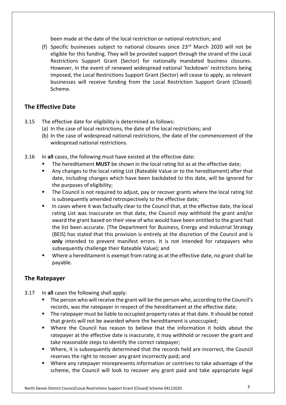been made at the date of the local restriction or national restriction; and

(f) Specific businesses subject to national closures since  $23<sup>rd</sup>$  March 2020 will not be eligible for this funding. They will be provided support through the strand of the Local Restrictions Support Grant (Sector) for nationally mandated business closures. However, In the event of renewed widespread national 'lockdown' restrictions being imposed, the Local Restrictions Support Grant (Sector) will cease to apply, as relevant businesses will receive funding from the Local Restriction Support Grant (Closed) Scheme.

#### **The Effective Date**

- 3.15 The effective date for eligibility is determined as follows:
	- (a) In the case of local restrictions, the date of the local restrictions; and
	- (b) In the case of widespread national restrictions, the date of the commencement of the widespread national restrictions.
- 3.16 In **all** cases, the following must have existed at the effective date:
	- The hereditament **MUST** be shown in the local rating list as at the effective date;
	- Any changes to the local rating List (Rateable Value or to the hereditament) after that date, including changes which have been backdated to this date, will be ignored for the purposes of eligibility;
	- The Council is not required to adjust, pay or recover grants where the local rating list is subsequently amended retrospectively to the effective date;
	- In cases where it was factually clear to the Council that, at the effective date, the local rating List was inaccurate on that date, the Council *may* withhold the grant and/or award the grant based on their view of who would have been entitled to the grant had the list been accurate. (The Department for Business, Energy and Industrial Strategy (BEIS) has stated that this provision is entirely at the discretion of the Council and is **only** intended to prevent manifest errors. It is not intended for ratepayers who subsequently challenge their Rateable Value); and
	- Where a hereditament is exempt from rating as at the effective date, no grant shall be payable.

## **The Ratepayer**

- 3.17 In **all** cases the following shall apply:
	- The person who will receive the grant will be the person who, according to the Council's records, was the ratepayer in respect of the hereditament at the effective date;
	- The ratepayer must be liable to occupied property rates at that date. It should be noted that grants will not be awarded where the hereditament is unoccupied;
	- Where the Council has reason to believe that the information it holds about the ratepayer at the effective date is inaccurate, it may withhold or recover the grant and take reasonable steps to identify the correct ratepayer;
	- Where, it is subsequently determined that the records held are incorrect, the Council reserves the right to recover any grant incorrectly paid; and
	- Where any ratepayer misrepresents information or contrives to take advantage of the scheme, the Council will look to recover any grant paid and take appropriate legal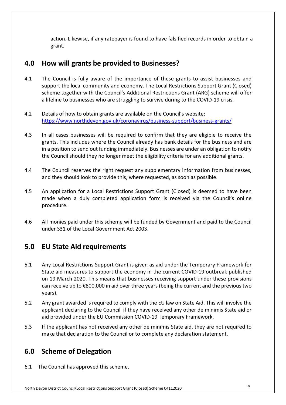action. Likewise, if any ratepayer is found to have falsified records in order to obtain a grant.

## **4.0 How will grants be provided to Businesses?**

- 4.1 The Council is fully aware of the importance of these grants to assist businesses and support the local community and economy. The Local Restrictions Support Grant (Closed) scheme together with the Council's Additional Restrictions Grant (ARG) scheme will offer a lifeline to businesses who are struggling to survive during to the COVID-19 crisis.
- 4.2 Details of how to obtain grants are available on the Council's website: <https://www.northdevon.gov.uk/coronavirus/business-support/business-grants>/
- 4.3 In all cases businesses will be required to confirm that they are eligible to receive the grants. This includes where the Council already has bank details for the business and are in a position to send out funding immediately. Businesses are under an obligation to notify the Council should they no longer meet the eligibility criteria for any additional grants.
- 4.4 The Council reserves the right request any supplementary information from businesses, and they should look to provide this, where requested, as soon as possible.
- 4.5 An application for a Local Restrictions Support Grant (Closed) is deemed to have been made when a duly completed application form is received via the Council's online procedure.
- 4.6 All monies paid under this scheme will be funded by Government and paid to the Council under S31 of the Local Government Act 2003.

# **5.0 EU State Aid requirements**

- 5.1 Any Local Restrictions Support Grant is given as aid under the Temporary Framework for State aid measures to support the economy in the current COVID-19 outbreak published on 19 March 2020. This means that businesses receiving support under these provisions can receive up to €800,000 in aid over three years (being the current and the previous two years).
- 5.2 Any grant awarded is required to comply with the EU law on State Aid. This will involve the applicant declaring to the Council if they have received any other de minimis State aid or aid provided under the EU Commission COVID-19 Temporary Framework.
- 5.3 If the applicant has not received any other de minimis State aid, they are not required to make that declaration to the Council or to complete any declaration statement.

# **6.0 Scheme of Delegation**

6.1 The Council has approved this scheme.

North Devon District Council/Local Restrictions Support Grant (Closed) Scheme 04112020 9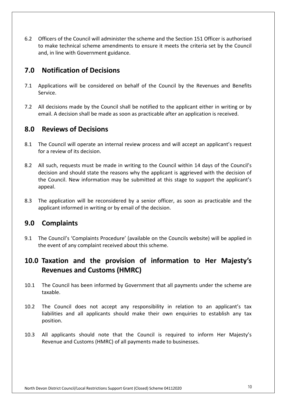6.2 Officers of the Council will administer the scheme and the Section 151 Officer is authorised to make technical scheme amendments to ensure it meets the criteria set by the Council and, in line with Government guidance.

# **7.0 Notification of Decisions**

- 7.1 Applications will be considered on behalf of the Council by the Revenues and Benefits Service.
- 7.2 All decisions made by the Council shall be notified to the applicant either in writing or by email. A decision shall be made as soon as practicable after an application is received.

## **8.0 Reviews of Decisions**

- 8.1 The Council will operate an internal review process and will accept an applicant's request for a review of its decision.
- 8.2 All such, requests must be made in writing to the Council within 14 days of the Council's decision and should state the reasons why the applicant is aggrieved with the decision of the Council. New information may be submitted at this stage to support the applicant's appeal.
- 8.3 The application will be reconsidered by a senior officer, as soon as practicable and the applicant informed in writing or by email of the decision.

# **9.0 Complaints**

9.1 The Council's 'Complaints Procedure' (available on the Councils website) will be applied in the event of any complaint received about this scheme.

# **10.0 Taxation and the provision of information to Her Majesty's Revenues and Customs (HMRC)**

- 10.1 The Council has been informed by Government that all payments under the scheme are taxable.
- 10.2 The Council does not accept any responsibility in relation to an applicant's tax liabilities and all applicants should make their own enquiries to establish any tax position.
- 10.3 All applicants should note that the Council is required to inform Her Majesty's Revenue and Customs (HMRC) of all payments made to businesses.